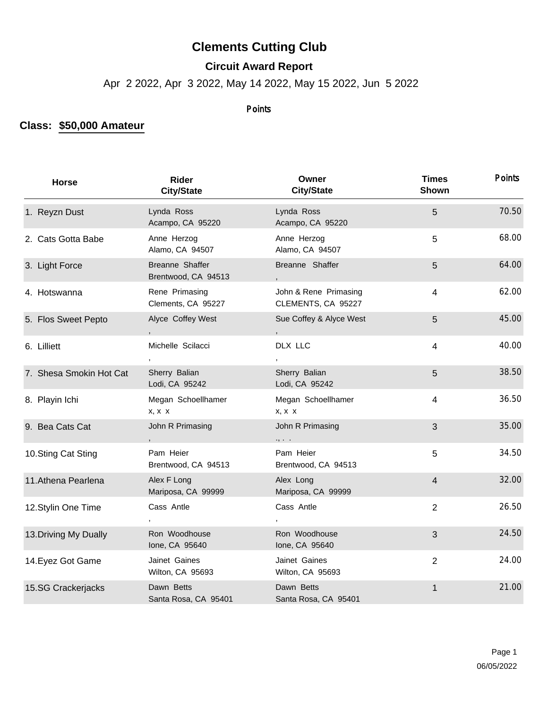## **Clements Cutting Club**

## **Circuit Award Report**

Apr 2 2022, Apr 3 2022, May 14 2022, May 15 2022, Jun 5 2022

## Points

## **Class: \$50,000 Amateur**

| Horse                   | <b>Rider</b><br><b>City/State</b>             | Owner<br><b>City/State</b>                    | <b>Times</b><br>Shown   | <b>Points</b> |
|-------------------------|-----------------------------------------------|-----------------------------------------------|-------------------------|---------------|
| 1. Reyzn Dust           | Lynda Ross<br>Acampo, CA 95220                | Lynda Ross<br>Acampo, CA 95220                | 5                       | 70.50         |
| 2. Cats Gotta Babe      | Anne Herzog<br>Alamo, CA 94507                | Anne Herzog<br>Alamo, CA 94507                | 5                       | 68.00         |
| 3. Light Force          | Breanne Shaffer<br>Brentwood, CA 94513        | Breanne Shaffer                               | $\overline{5}$          | 64.00         |
| 4. Hotswanna            | Rene Primasing<br>Clements, CA 95227          | John & Rene Primasing<br>CLEMENTS, CA 95227   | $\overline{4}$          | 62.00         |
| 5. Flos Sweet Pepto     | Alyce Coffey West                             | Sue Coffey & Alyce West                       | 5                       | 45.00         |
| 6. Lilliett             | Michelle Scilacci<br>$\overline{\phantom{a}}$ | DLX LLC                                       | $\overline{\mathbf{4}}$ | 40.00         |
| 7. Shesa Smokin Hot Cat | Sherry Balian<br>Lodi, CA 95242               | Sherry Balian<br>Lodi, CA 95242               | 5                       | 38.50         |
| 8. Playin Ichi          | Megan Schoellhamer<br>$X, X \ X$              | Megan Schoellhamer<br>$X, X \ X$              | $\overline{4}$          | 36.50         |
| 9. Bea Cats Cat         | John R Primasing                              | John R Primasing<br>$\cdot$ , $\cdot$ $\cdot$ | $\mathbf{3}$            | 35.00         |
| 10. Sting Cat Sting     | Pam Heier<br>Brentwood, CA 94513              | Pam Heier<br>Brentwood, CA 94513              | 5                       | 34.50         |
| 11. Athena Pearlena     | Alex F Long<br>Mariposa, CA 99999             | Alex Long<br>Mariposa, CA 99999               | $\overline{4}$          | 32.00         |
| 12. Stylin One Time     | Cass Antle                                    | Cass Antle                                    | $\overline{2}$          | 26.50         |
| 13. Driving My Dually   | Ron Woodhouse<br>Ione, CA 95640               | Ron Woodhouse<br>Ione, CA 95640               | 3                       | 24.50         |
| 14. Eyez Got Game       | Jainet Gaines<br>Wilton, CA 95693             | Jainet Gaines<br>Wilton, CA 95693             | $\overline{2}$          | 24.00         |
| 15.SG Crackerjacks      | Dawn Betts<br>Santa Rosa, CA 95401            | Dawn Betts<br>Santa Rosa, CA 95401            | $\mathbf{1}$            | 21.00         |